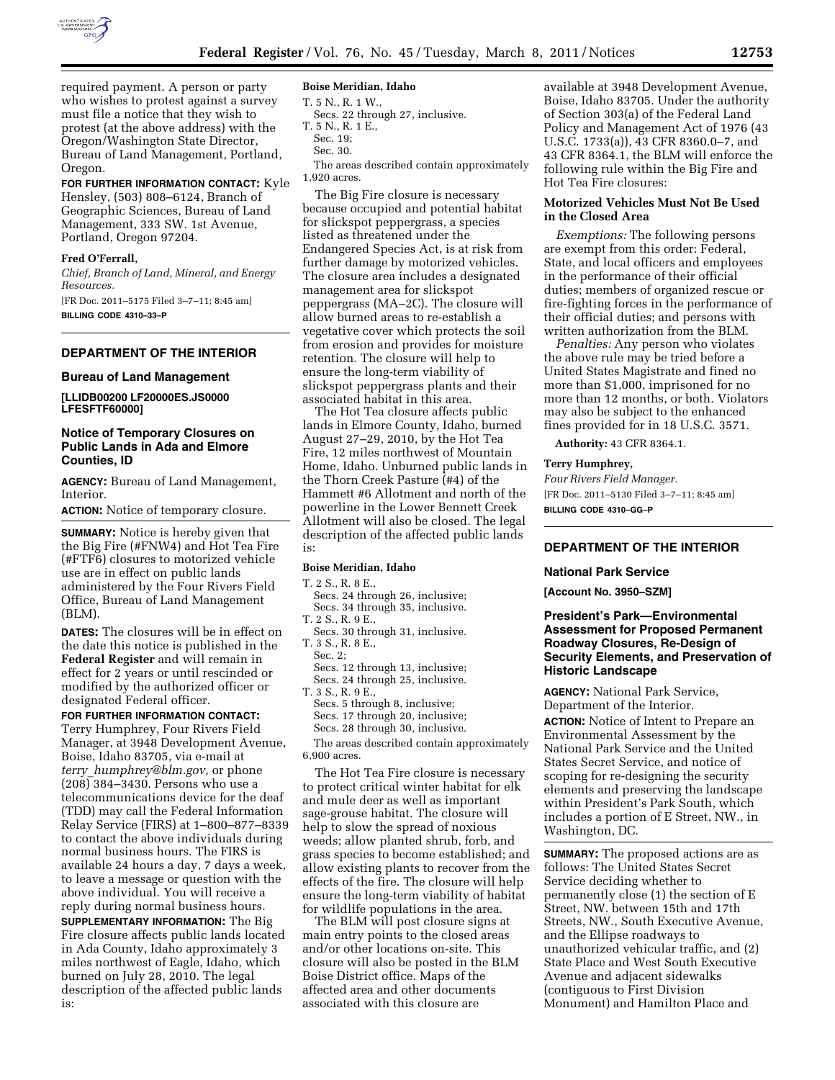

required payment. A person or party who wishes to protest against a survey must file a notice that they wish to protest (at the above address) with the Oregon/Washington State Director, Bureau of Land Management, Portland, Oregon.

# **FOR FURTHER INFORMATION CONTACT:** Kyle

Hensley, (503) 808–6124, Branch of Geographic Sciences, Bureau of Land Management, 333 SW. 1st Avenue, Portland, Oregon 97204.

## **Fred O'Ferrall,**

*Chief, Branch of Land, Mineral, and Energy Resources.* 

[FR Doc. 2011–5175 Filed 3–7–11; 8:45 am] **BILLING CODE 4310–33–P** 

# **DEPARTMENT OF THE INTERIOR**

#### **Bureau of Land Management**

**[LLIDB00200 LF20000ES.JS0000 LFESFTF60000]** 

# **Notice of Temporary Closures on Public Lands in Ada and Elmore Counties, ID**

**AGENCY:** Bureau of Land Management, Interior.

**ACTION:** Notice of temporary closure.

**SUMMARY:** Notice is hereby given that the Big Fire (#FNW4) and Hot Tea Fire (#FTF6) closures to motorized vehicle use are in effect on public lands administered by the Four Rivers Field Office, Bureau of Land Management (BLM).

**DATES:** The closures will be in effect on the date this notice is published in the **Federal Register** and will remain in effect for 2 years or until rescinded or modified by the authorized officer or designated Federal officer.

# **FOR FURTHER INFORMATION CONTACT:**

Terry Humphrey, Four Rivers Field Manager, at 3948 Development Avenue, Boise, Idaho 83705, via e-mail at *terry*\_*[humphrey@blm.gov,](mailto:terry_humphrey@blm.gov)* or phone (208) 384–3430. Persons who use a telecommunications device for the deaf (TDD) may call the Federal Information Relay Service (FIRS) at 1–800–877–8339 to contact the above individuals during normal business hours. The FIRS is available 24 hours a day, 7 days a week, to leave a message or question with the above individual. You will receive a reply during normal business hours. **SUPPLEMENTARY INFORMATION:** The Big

Fire closure affects public lands located in Ada County, Idaho approximately 3 miles northwest of Eagle, Idaho, which burned on July 28, 2010. The legal description of the affected public lands is:

### **Boise Meridian, Idaho**

T. 5 N., R. 1 W.,

- T. 5 N., R. 1 E.,
- Sec. 19;
- Sec. 30.

The areas described contain approximately 1,920 acres.

The Big Fire closure is necessary because occupied and potential habitat for slickspot peppergrass, a species listed as threatened under the Endangered Species Act, is at risk from further damage by motorized vehicles. The closure area includes a designated management area for slickspot peppergrass (MA–2C). The closure will allow burned areas to re-establish a vegetative cover which protects the soil from erosion and provides for moisture retention. The closure will help to ensure the long-term viability of slickspot peppergrass plants and their associated habitat in this area.

The Hot Tea closure affects public lands in Elmore County, Idaho, burned August 27–29, 2010, by the Hot Tea Fire, 12 miles northwest of Mountain Home, Idaho. Unburned public lands in the Thorn Creek Pasture (#4) of the Hammett #6 Allotment and north of the powerline in the Lower Bennett Creek Allotment will also be closed. The legal description of the affected public lands is:

### **Boise Meridian, Idaho**

T. 2 S., R. 8 E.,

- Secs. 24 through 26, inclusive; Secs. 34 through 35, inclusive.
- T. 2 S., R. 9 E., Secs. 30 through 31, inclusive. T. 3 S., R. 8 E.,

Sec. 2;

- Secs. 12 through 13, inclusive;
- Secs. 24 through 25, inclusive.

T. 3 S., R. 9 E.,

- Secs. 5 through 8, inclusive; Secs. 17 through 20, inclusive;
- Secs. 28 through 30, inclusive.

The areas described contain approximately 6,900 acres.

The Hot Tea Fire closure is necessary to protect critical winter habitat for elk and mule deer as well as important sage-grouse habitat. The closure will help to slow the spread of noxious weeds; allow planted shrub, forb, and grass species to become established; and allow existing plants to recover from the effects of the fire. The closure will help ensure the long-term viability of habitat for wildlife populations in the area.

The BLM will post closure signs at main entry points to the closed areas and/or other locations on-site. This closure will also be posted in the BLM Boise District office. Maps of the affected area and other documents associated with this closure are

available at 3948 Development Avenue, Boise, Idaho 83705. Under the authority of Section 303(a) of the Federal Land Policy and Management Act of 1976 (43 U.S.C. 1733(a)), 43 CFR 8360.0–7, and 43 CFR 8364.1, the BLM will enforce the following rule within the Big Fire and Hot Tea Fire closures:

## **Motorized Vehicles Must Not Be Used in the Closed Area**

*Exemptions:* The following persons are exempt from this order: Federal, State, and local officers and employees in the performance of their official duties; members of organized rescue or fire-fighting forces in the performance of their official duties; and persons with written authorization from the BLM.

*Penalties:* Any person who violates the above rule may be tried before a United States Magistrate and fined no more than \$1,000, imprisoned for no more than 12 months, or both. Violators may also be subject to the enhanced fines provided for in 18 U.S.C. 3571.

**Authority:** 43 CFR 8364.1.

# **Terry Humphrey,**

*Four Rivers Field Manager.*  [FR Doc. 2011–5130 Filed 3–7–11; 8:45 am] **BILLING CODE 4310–GG–P** 

# **DEPARTMENT OF THE INTERIOR**

### **National Park Service**

**[Account No. 3950–SZM]** 

# **President's Park—Environmental Assessment for Proposed Permanent Roadway Closures, Re-Design of Security Elements, and Preservation of Historic Landscape**

**AGENCY:** National Park Service, Department of the Interior. **ACTION:** Notice of Intent to Prepare an Environmental Assessment by the National Park Service and the United States Secret Service, and notice of scoping for re-designing the security elements and preserving the landscape within President's Park South, which includes a portion of E Street, NW., in Washington, DC.

**SUMMARY:** The proposed actions are as follows: The United States Secret Service deciding whether to permanently close (1) the section of E Street, NW. between 15th and 17th Streets, NW., South Executive Avenue, and the Ellipse roadways to unauthorized vehicular traffic, and (2) State Place and West South Executive Avenue and adjacent sidewalks (contiguous to First Division Monument) and Hamilton Place and

Secs. 22 through 27, inclusive.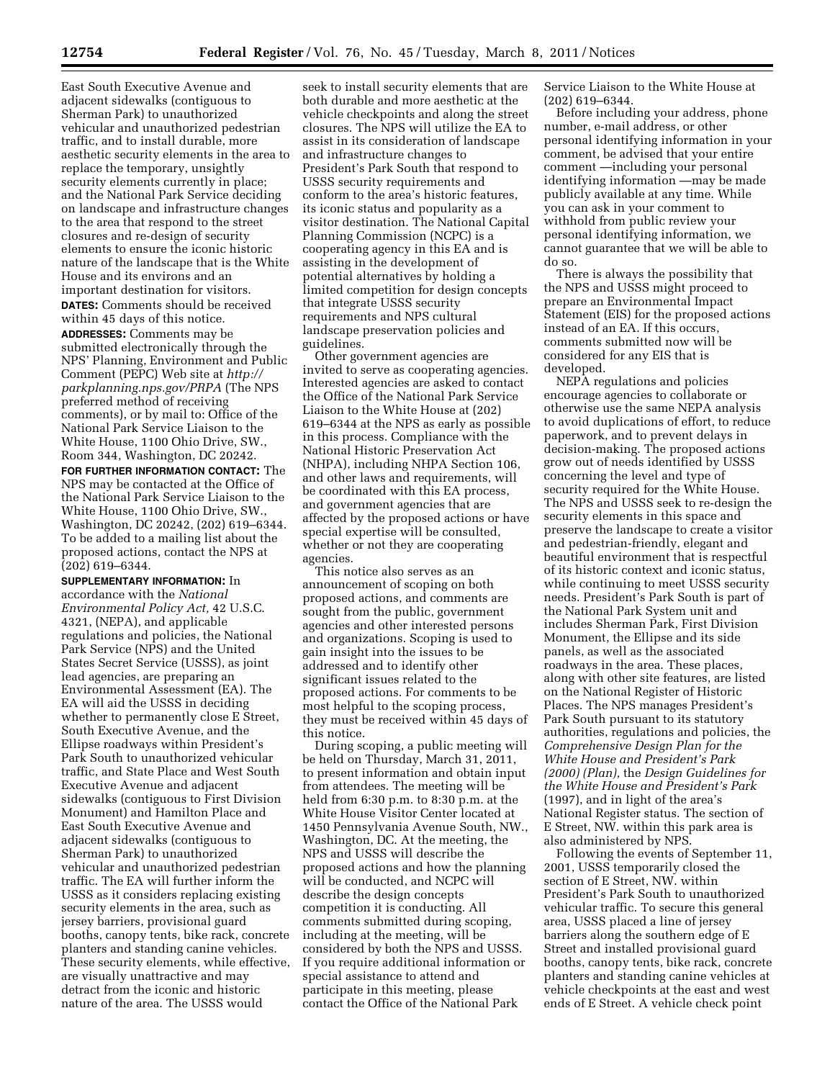vehicular and unauthorized pedestrian traffic, and to install durable, more aesthetic security elements in the area to replace the temporary, unsightly security elements currently in place; and the National Park Service deciding on landscape and infrastructure changes to the area that respond to the street closures and re-design of security elements to ensure the iconic historic nature of the landscape that is the White House and its environs and an important destination for visitors. **DATES:** Comments should be received within 45 days of this notice.

**ADDRESSES:** Comments may be submitted electronically through the NPS' Planning, Environment and Public Comment (PEPC) Web site at *[http://](http://parkplanning.nps.gov/PRPA)  [parkplanning.nps.gov/PRPA](http://parkplanning.nps.gov/PRPA)* (The NPS preferred method of receiving comments), or by mail to: Office of the National Park Service Liaison to the White House, 1100 Ohio Drive, SW., Room 344, Washington, DC 20242.

**FOR FURTHER INFORMATION CONTACT:** The NPS may be contacted at the Office of the National Park Service Liaison to the White House, 1100 Ohio Drive, SW., Washington, DC 20242, (202) 619–6344. To be added to a mailing list about the proposed actions, contact the NPS at (202) 619–6344.

**SUPPLEMENTARY INFORMATION:** In accordance with the *National Environmental Policy Act,* 42 U.S.C. 4321, (NEPA), and applicable regulations and policies, the National Park Service (NPS) and the United States Secret Service (USSS), as joint lead agencies, are preparing an Environmental Assessment (EA). The EA will aid the USSS in deciding whether to permanently close E Street, South Executive Avenue, and the Ellipse roadways within President's Park South to unauthorized vehicular traffic, and State Place and West South Executive Avenue and adjacent sidewalks (contiguous to First Division Monument) and Hamilton Place and East South Executive Avenue and adjacent sidewalks (contiguous to Sherman Park) to unauthorized vehicular and unauthorized pedestrian traffic. The EA will further inform the USSS as it considers replacing existing security elements in the area, such as jersey barriers, provisional guard booths, canopy tents, bike rack, concrete planters and standing canine vehicles. These security elements, while effective, are visually unattractive and may detract from the iconic and historic nature of the area. The USSS would

seek to install security elements that are both durable and more aesthetic at the vehicle checkpoints and along the street closures. The NPS will utilize the EA to assist in its consideration of landscape and infrastructure changes to President's Park South that respond to USSS security requirements and conform to the area's historic features, its iconic status and popularity as a visitor destination. The National Capital Planning Commission (NCPC) is a cooperating agency in this EA and is assisting in the development of potential alternatives by holding a limited competition for design concepts that integrate USSS security requirements and NPS cultural landscape preservation policies and guidelines.

Other government agencies are invited to serve as cooperating agencies. Interested agencies are asked to contact the Office of the National Park Service Liaison to the White House at (202) 619–6344 at the NPS as early as possible in this process. Compliance with the National Historic Preservation Act (NHPA), including NHPA Section 106, and other laws and requirements, will be coordinated with this EA process, and government agencies that are affected by the proposed actions or have special expertise will be consulted, whether or not they are cooperating agencies.

This notice also serves as an announcement of scoping on both proposed actions, and comments are sought from the public, government agencies and other interested persons and organizations. Scoping is used to gain insight into the issues to be addressed and to identify other significant issues related to the proposed actions. For comments to be most helpful to the scoping process, they must be received within 45 days of this notice.

During scoping, a public meeting will be held on Thursday, March 31, 2011, to present information and obtain input from attendees. The meeting will be held from 6:30 p.m. to 8:30 p.m. at the White House Visitor Center located at 1450 Pennsylvania Avenue South, NW., Washington, DC. At the meeting, the NPS and USSS will describe the proposed actions and how the planning will be conducted, and NCPC will describe the design concepts competition it is conducting. All comments submitted during scoping, including at the meeting, will be considered by both the NPS and USSS. If you require additional information or special assistance to attend and participate in this meeting, please contact the Office of the National Park

Service Liaison to the White House at (202) 619–6344.

Before including your address, phone number, e-mail address, or other personal identifying information in your comment, be advised that your entire comment —including your personal identifying information —may be made publicly available at any time. While you can ask in your comment to withhold from public review your personal identifying information, we cannot guarantee that we will be able to do so.

There is always the possibility that the NPS and USSS might proceed to prepare an Environmental Impact Statement (EIS) for the proposed actions instead of an EA. If this occurs, comments submitted now will be considered for any EIS that is developed.

NEPA regulations and policies encourage agencies to collaborate or otherwise use the same NEPA analysis to avoid duplications of effort, to reduce paperwork, and to prevent delays in decision-making. The proposed actions grow out of needs identified by USSS concerning the level and type of security required for the White House. The NPS and USSS seek to re-design the security elements in this space and preserve the landscape to create a visitor and pedestrian-friendly, elegant and beautiful environment that is respectful of its historic context and iconic status, while continuing to meet USSS security needs. President's Park South is part of the National Park System unit and includes Sherman Park, First Division Monument, the Ellipse and its side panels, as well as the associated roadways in the area. These places, along with other site features, are listed on the National Register of Historic Places. The NPS manages President's Park South pursuant to its statutory authorities, regulations and policies, the *Comprehensive Design Plan for the White House and President's Park (2000) (Plan),* the *Design Guidelines for the White House and President's Park*  (1997), and in light of the area's National Register status. The section of E Street, NW. within this park area is also administered by NPS.

Following the events of September 11, 2001, USSS temporarily closed the section of E Street, NW. within President's Park South to unauthorized vehicular traffic. To secure this general area, USSS placed a line of jersey barriers along the southern edge of E Street and installed provisional guard booths, canopy tents, bike rack, concrete planters and standing canine vehicles at vehicle checkpoints at the east and west ends of E Street. A vehicle check point